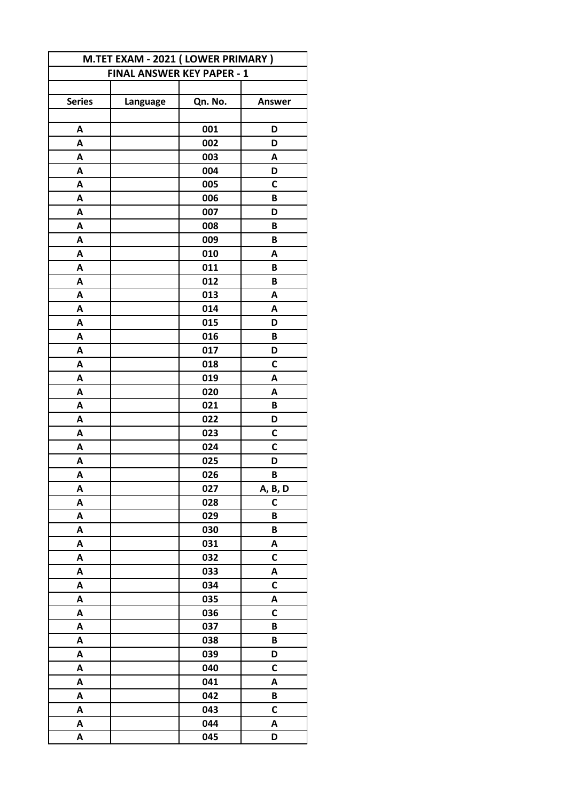| M.TET EXAM - 2021 (LOWER PRIMARY) |                                   |         |               |
|-----------------------------------|-----------------------------------|---------|---------------|
|                                   | <b>FINAL ANSWER KEY PAPER - 1</b> |         |               |
|                                   |                                   |         |               |
| <b>Series</b>                     | Language                          | Qn. No. | <b>Answer</b> |
|                                   |                                   |         |               |
| A                                 |                                   | 001     | D             |
| A                                 |                                   | 002     | D             |
| Α                                 |                                   | 003     | A             |
| Α                                 |                                   | 004     | D             |
| A                                 |                                   | 005     | C             |
| A                                 |                                   | 006     | B             |
| A                                 |                                   | 007     | D             |
| A                                 |                                   | 008     | B             |
| Α                                 |                                   | 009     | B             |
| Α                                 |                                   | 010     | A             |
| A                                 |                                   | 011     | B             |
| A                                 |                                   | 012     | B             |
| A                                 |                                   | 013     | A             |
| A                                 |                                   | 014     | A             |
| Α                                 |                                   | 015     | D             |
| A                                 |                                   | 016     | B             |
| A                                 |                                   | 017     | D             |
| Α                                 |                                   | 018     | $\mathsf{C}$  |
| A                                 |                                   | 019     | Α             |
| A                                 |                                   | 020     | Α             |
| A                                 |                                   | 021     | B             |
| A                                 |                                   | 022     | D             |
| A                                 |                                   | 023     | C             |
| Α                                 |                                   | 024     | C             |
| Α                                 |                                   | 025     | D             |
| А                                 |                                   | 026     | В             |
| A                                 |                                   | 027     | A, B, D       |
| A                                 |                                   | 028     | C             |
| A                                 |                                   | 029     | B             |
| A                                 |                                   | 030     | B             |
| A                                 |                                   | 031     | Α             |
| A                                 |                                   | 032     | C             |
| A                                 |                                   | 033     | A             |
| A                                 |                                   | 034     | $\mathsf{C}$  |
| A                                 |                                   | 035     | A             |
| A                                 |                                   | 036     | $\mathsf{C}$  |
| A                                 |                                   | 037     | B             |
| A                                 |                                   | 038     | B             |
| A                                 |                                   | 039     | D             |
| A                                 |                                   | 040     | C             |
| A                                 |                                   | 041     | A             |
| A                                 |                                   | 042     | B             |
| A                                 |                                   | 043     | C             |
| A                                 |                                   | 044     | A             |
| A                                 |                                   | 045     | D             |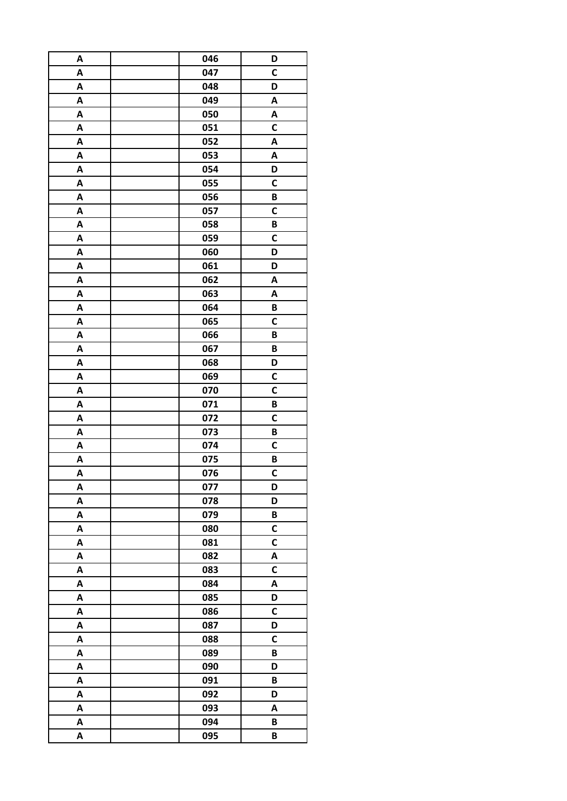| A                         | 046 | D            |
|---------------------------|-----|--------------|
| A                         | 047 | $\mathbf C$  |
| A                         | 048 | D            |
| A                         | 049 | A            |
| Α                         | 050 | Α            |
| A                         | 051 | C            |
| Α                         | 052 | Α            |
| A                         | 053 | Α            |
| A                         | 054 | D            |
| A                         | 055 | $\mathsf C$  |
| $\boldsymbol{\mathsf{A}}$ | 056 | B            |
| A                         | 057 | $\mathsf{C}$ |
| A                         | 058 | B            |
| A                         | 059 | $\mathbf c$  |
| A                         | 060 | D            |
| $\boldsymbol{\mathsf{A}}$ | 061 | D            |
| A                         | 062 | A            |
| A                         | 063 | A            |
| A                         | 064 | B            |
| Α                         | 065 | C            |
| A                         | 066 | B            |
| A                         | 067 | B            |
| A                         | 068 | D            |
| A                         | 069 | C            |
| A                         | 070 | C            |
| Α                         | 071 | B            |
| A                         | 072 | C            |
| A                         | 073 | B            |
| A                         | 074 | C            |
| A                         | 075 | B            |
| $\overline{\mathsf{A}}$   | 076 | C            |
| A                         | 077 | D            |
| A                         | 078 | D            |
| A                         | 079 | B            |
| A                         | 080 | $\mathsf{C}$ |
| A                         | 081 | C            |
| A                         | 082 | A            |
| A                         | 083 | C            |
| A                         | 084 | Α            |
| A                         | 085 | D            |
| Α                         | 086 | C            |
| A                         | 087 | D            |
| Α                         | 088 | C            |
| A                         | 089 | B            |
| A                         | 090 | D            |
| Α                         | 091 | B            |
| A                         | 092 | D            |
| A                         | 093 | A            |
| A                         | 094 | B            |
| Α                         | 095 | B            |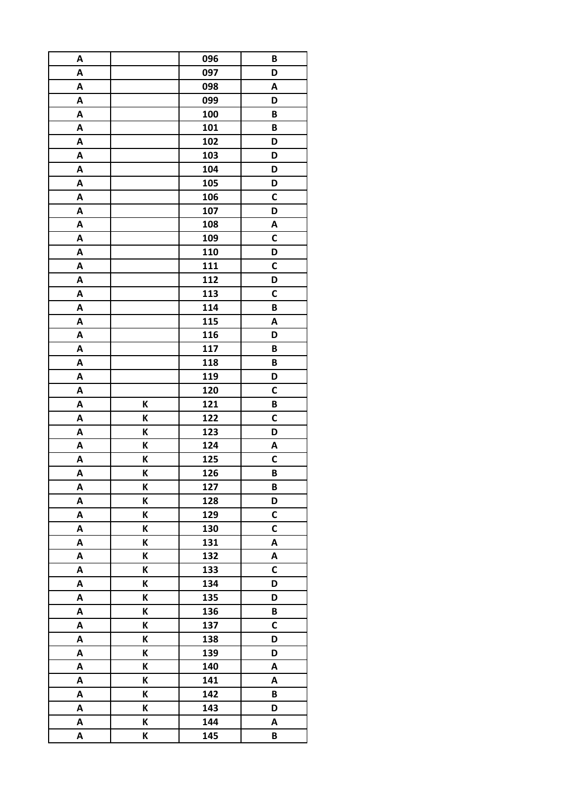| A |   | 096 | B            |
|---|---|-----|--------------|
| A |   | 097 | D            |
| A |   | 098 | A            |
| A |   | 099 | D            |
| A |   | 100 | B            |
| A |   | 101 | B            |
| A |   | 102 | D            |
| A |   | 103 | D            |
| A |   | 104 | D            |
| A |   | 105 | D            |
| A |   | 106 | C            |
| Α |   | 107 | D            |
| A |   | 108 | A            |
| A |   | 109 | $\mathsf{C}$ |
| A |   | 110 | D            |
| A |   | 111 | C            |
| A |   | 112 | D            |
| A |   | 113 | C            |
| A |   | 114 | B            |
| A |   | 115 | A            |
| A |   | 116 | D            |
| A |   | 117 | B            |
| A |   | 118 | B            |
| A |   | 119 | D            |
| A |   | 120 | C            |
| A | K | 121 | B            |
| A | К | 122 | C            |
| A | K | 123 | D            |
| A | K | 124 | A            |
| A | K | 125 | C            |
| A | K | 126 | B            |
| A | K | 127 | B            |
| A | K | 128 | D            |
| A | K | 129 | C            |
| A | K | 130 | $\mathsf{C}$ |
| A | K | 131 | A            |
| Α | K | 132 | A            |
| A | K | 133 | $\mathsf{C}$ |
| A | K | 134 | D            |
| A | K | 135 | D            |
| A | K | 136 | B            |
| A | K | 137 | $\mathsf{C}$ |
| A | K | 138 | D            |
| A | K | 139 | D            |
| A | K | 140 | A            |
| A | K | 141 | A            |
| A | K | 142 | $\pmb B$     |
| A | K | 143 | D            |
| A | K | 144 | A            |
| A | K | 145 | B            |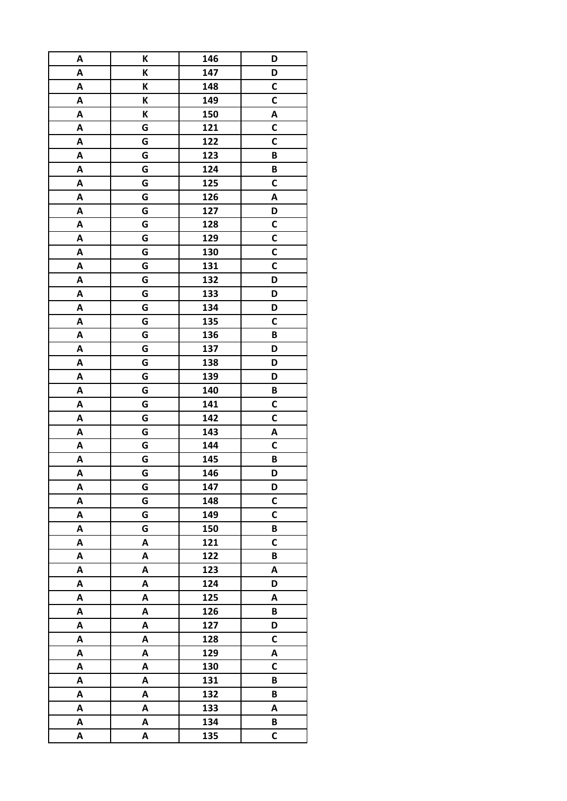| A | K | 146 | D            |
|---|---|-----|--------------|
| A | K | 147 | D            |
| A | Κ | 148 | С            |
| A | K | 149 | C            |
| A | K | 150 | A            |
| A | G | 121 | С            |
| A | G | 122 | $\mathbf c$  |
| A | G | 123 | B            |
| A | G | 124 | B            |
| A | G | 125 | $\mathsf{C}$ |
| A | G | 126 | A            |
| A | G | 127 | D            |
| A | G | 128 | C            |
| A | G | 129 | C            |
| A | G | 130 | C            |
| A | G | 131 | C            |
| A | G | 132 | D            |
| A | G | 133 | D            |
| A | G | 134 | D            |
| A | G | 135 | C            |
| A | G | 136 | B            |
| A | G | 137 | D            |
| A | G | 138 | D            |
| A | G | 139 | D            |
| A | G | 140 | B            |
| A | G | 141 | C            |
| A | G | 142 | C            |
| A | G | 143 | A            |
| A | G | 144 | C            |
| A | G | 145 | B            |
| A | G | 146 | D            |
| A | G | 147 | D            |
| A | G | 148 | $\mathsf{C}$ |
| A | G | 149 | C            |
| A | G | 150 | B            |
| A | A | 121 | $\mathsf c$  |
| A | A | 122 | B            |
| A | A | 123 | Α            |
| A | A | 124 | D            |
| A | A | 125 | A            |
| A | A | 126 | B            |
| A | A | 127 | D            |
| A | A | 128 | C            |
| A | A | 129 | Α            |
| A | A | 130 | C            |
| A | A | 131 | B            |
| A | A | 132 | B            |
| A | A | 133 | A            |
| A | A | 134 | B            |
| A | A | 135 | $\mathsf{C}$ |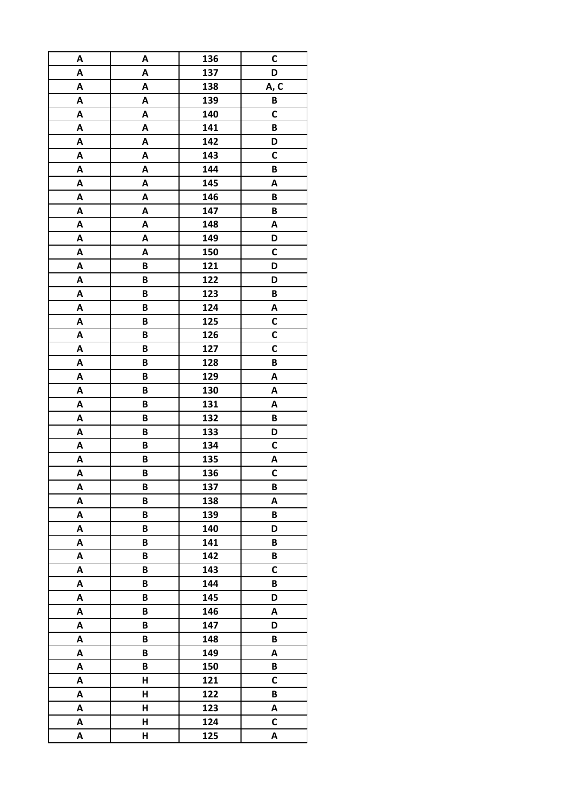| A | A | 136 | C        |
|---|---|-----|----------|
| A | A | 137 | D        |
| A | A | 138 | A, C     |
| A | A | 139 | $\pmb B$ |
| A | A | 140 | C        |
| A | A | 141 | B        |
| A | A | 142 | D        |
| A | A | 143 | C        |
| A | A | 144 | B        |
| A | A | 145 | A        |
| A | A | 146 | B        |
| A | A | 147 | B        |
| A | A | 148 | A        |
| A | A | 149 | D        |
| A | A | 150 | C        |
| A | B | 121 | D        |
| A | B | 122 | D        |
| A | B | 123 | B        |
| A | B | 124 | A        |
| A | B | 125 | С        |
| A | B | 126 | C        |
| A | B | 127 | C        |
| A | B | 128 | B        |
| A | B | 129 | A        |
| A | B | 130 | Α        |
| A | B | 131 | A        |
| A | B | 132 | B        |
| A | B | 133 | D        |
| A | B | 134 | C        |
| A | B | 135 | A        |
| A | B | 136 | C        |
| A | B | 137 | B        |
| A | B | 138 | A        |
| A | B | 139 | B        |
| A | B | 140 | D        |
| A | B | 141 | B        |
| A | B | 142 | B        |
| A | B | 143 | C        |
| A | B | 144 | B        |
| A | B | 145 | D        |
| A | B | 146 | A        |
| A | B | 147 | D        |
| A | B | 148 | B        |
| A | B | 149 | A        |
| A | B | 150 | B        |
| A | Н | 121 | C        |
| A | Н | 122 | B        |
| Α | Н | 123 | Α        |
| A | Н | 124 | C        |
| A | H | 125 | A        |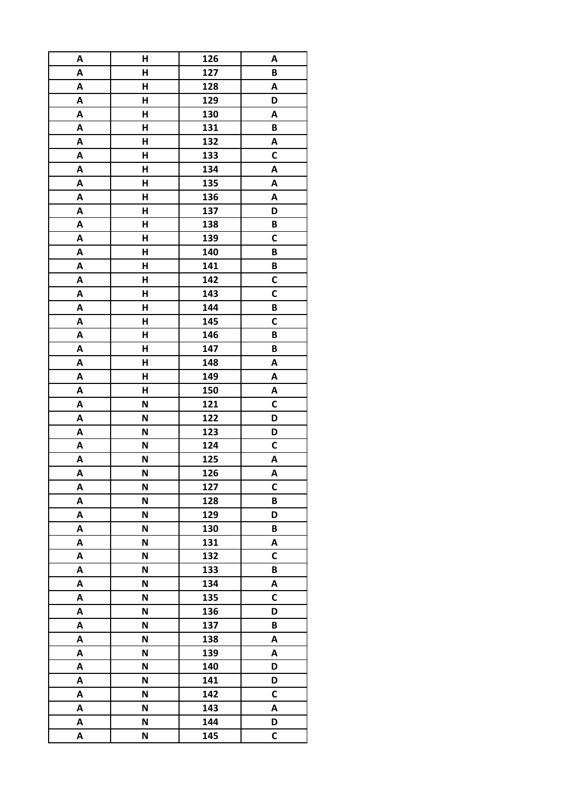| A      | H | 126        | A                 |
|--------|---|------------|-------------------|
| A      | H | 127        | B                 |
| A      | H | 128        | A                 |
| A      | H | 129        | D                 |
| A      | H | 130        | A                 |
| A      | Н | 131        | B                 |
| A      | Н | 132        | A                 |
| A      | H | 133        | C                 |
| A      | H | 134        | A                 |
| A      | H | 135        | A                 |
| A      | Н | 136        | A                 |
| A      | H | 137        | D                 |
| A      | Н | 138        | B                 |
| A      | H | 139        | C                 |
| A      | Н | 140        | B                 |
| A      | H | 141        | B                 |
| A      | H | 142        | C                 |
| A      | H | 143        | C                 |
| A      | H | 144        | B                 |
| A      | Н | 145        | C                 |
| A      | H | 146        | B                 |
| A      | H | 147        | B                 |
| A      | H | 148        | A                 |
| A      | H | 149        | A                 |
| A      | Н | 150        | Α                 |
| A      | N | 121        | C                 |
| A      | N | 122        | D                 |
| A      | N | 123        | D                 |
| A      | N | 124        | C                 |
| A      | N | 125        |                   |
| A      | N | 126        | A<br>A            |
| A      | N | 127        | C                 |
|        | N |            | B                 |
| A      | N | 128        | D                 |
| A      | N | 129        |                   |
| A<br>A | N | 130<br>131 | B<br>A            |
|        | N | 132        | C                 |
| Α      | N |            | B                 |
| A      |   | 133        |                   |
| A      | N | 134        | A<br>$\mathsf{C}$ |
| A      | N | 135        |                   |
| A      | N | 136        | D                 |
| A      | N | 137        | B                 |
| A      | N | 138        | A                 |
| A      | N | 139        | Α                 |
| A      | N | 140        | D                 |
| A      | N | 141        | D                 |
| A      | N | 142        | C                 |
| A      | N | 143        | A                 |
| A      | N | 144        | D                 |
| Α      | N | 145        | C                 |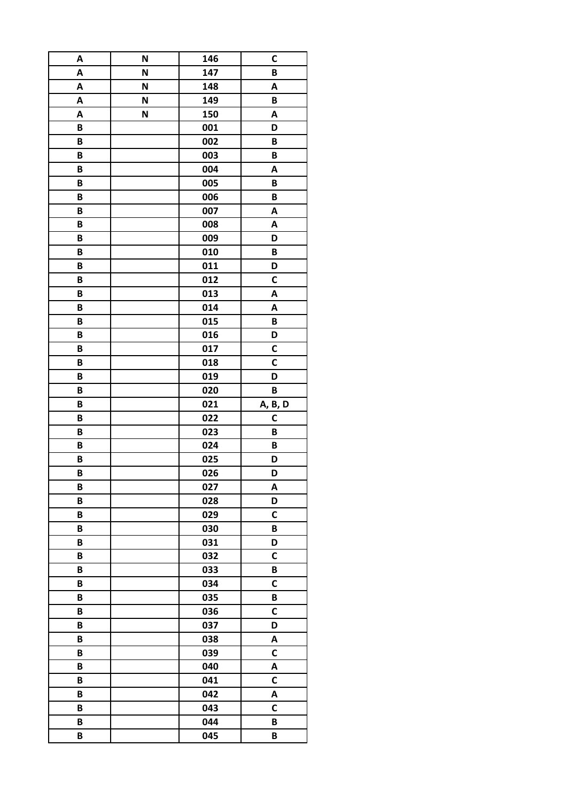| A | N | 146        | C            |
|---|---|------------|--------------|
| A | N | 147        | B            |
| A | N | 148        | Α            |
| A | N | 149        | B            |
| A | N | 150        | A            |
| B |   | 001        | D            |
| B |   | 002        | B            |
| B |   | 003        | B            |
| B |   | 004        | A            |
| B |   | 005        | B            |
| B |   | 006        | B            |
| B |   | 007        | Α            |
| B |   | 008        | Α            |
| B |   | 009        | D            |
| B |   | 010        | B            |
| B |   | 011        | D            |
| B |   | 012        | C            |
| B |   | 013        | Α            |
| B |   | 014        | Α            |
| B |   | 015        | B            |
| B |   | 016        | D            |
| B |   | 017        | C            |
| B |   | 018        | C            |
| B |   | 019        | D            |
| B |   | 020        | B            |
|   |   |            |              |
| B |   |            |              |
| B |   | 021        | A, B, D<br>C |
| B |   | 022<br>023 | B            |
| B |   | 024        | B            |
| B |   | 025        | D            |
| B |   | 026        | D            |
| B |   | 027        | A            |
| B |   | 028        | D            |
| B |   | 029        | $\mathsf c$  |
| B |   | 030        | B            |
| B |   | 031        | D            |
| B |   | 032        | $\mathsf{C}$ |
| B |   | 033        | B            |
| B |   | 034        | $\mathsf{C}$ |
| B |   | 035        | B            |
| B |   | 036        | C            |
| B |   | 037        | D            |
| B |   | 038        | A            |
| B |   | 039        | C            |
| B |   | 040        | A            |
| B |   | 041        | C            |
| B |   | 042        | A            |
| B |   | 043        | $\mathsf{C}$ |
| B |   | 044        | B            |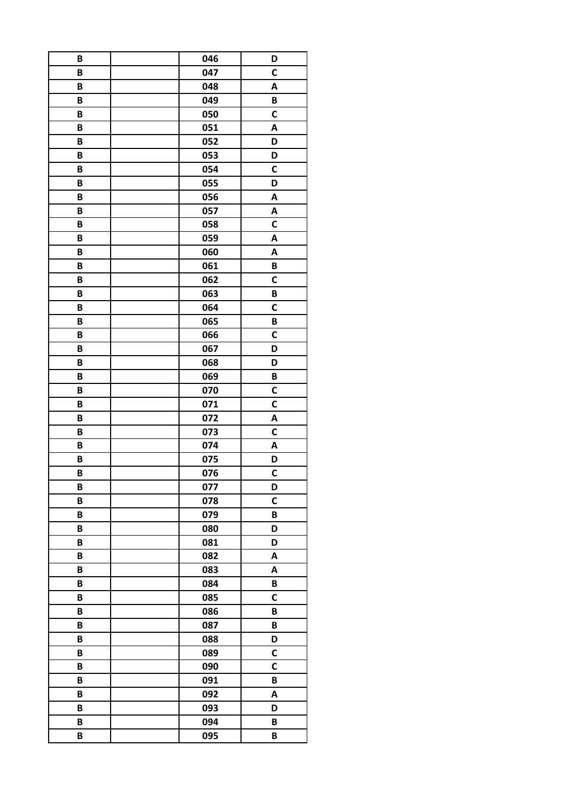| B | 046 | D            |
|---|-----|--------------|
| B | 047 | $\mathsf{C}$ |
| B | 048 | Α            |
| B | 049 | B            |
| B | 050 | $\mathsf{C}$ |
| B | 051 | A            |
| B | 052 | D            |
| B | 053 | D            |
| B | 054 | $\mathbf c$  |
| B | 055 | D            |
| B | 056 | A            |
| B | 057 | Α            |
| B | 058 | C            |
| B | 059 | A            |
| B | 060 | A            |
| B | 061 | B            |
| B | 062 | C            |
| B | 063 | B            |
| B | 064 | $\mathbf c$  |
| B | 065 | B            |
| B | 066 | $\mathbf c$  |
| B | 067 | D            |
| B | 068 | D            |
| B | 069 | B            |
| B | 070 | C            |
| B | 071 | $\mathbf c$  |
| B | 072 | A            |
| B | 073 | $\mathsf{C}$ |
| B | 074 | Α            |
| B | 075 | D            |
| B | 076 | C            |
| B | 077 | D            |
| B | 078 | $\mathbf C$  |
| B | 079 | B            |
| B | 080 | D            |
| B | 081 | D            |
| B | 082 | A            |
| B | 083 | Α            |
| B | 084 | B            |
| B | 085 | $\mathsf{C}$ |
| B | 086 | B            |
| B | 087 | B            |
| B | 088 | D            |
| B | 089 | C            |
| B | 090 | $\mathbf c$  |
| B | 091 | B            |
| B | 092 | A            |
| B | 093 | D            |
| B | 094 | B            |
| B | 095 | B            |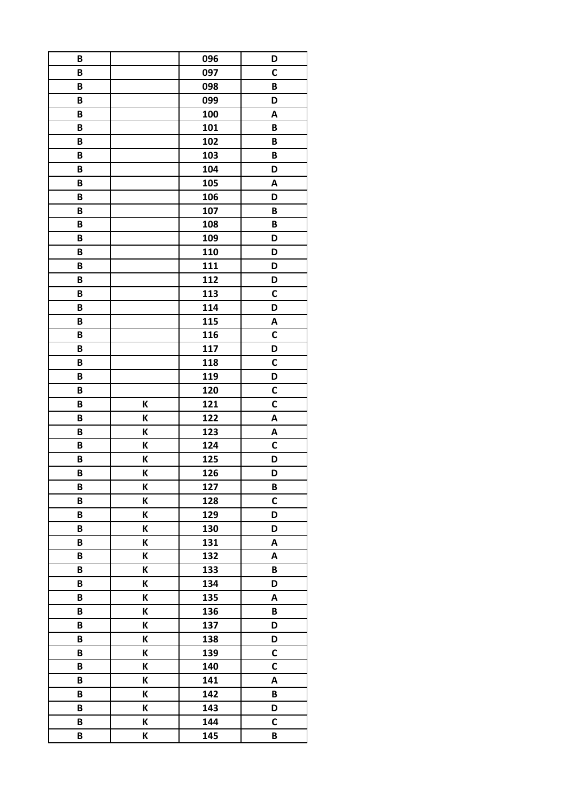| B |   | 096 | D            |
|---|---|-----|--------------|
| B |   | 097 | C            |
| B |   | 098 | B            |
| B |   | 099 | D            |
| B |   | 100 | A            |
| B |   | 101 | B            |
| B |   | 102 | B            |
| B |   | 103 | B            |
| B |   | 104 | D            |
| B |   | 105 | A            |
| B |   | 106 | D            |
| B |   | 107 | B            |
| B |   | 108 | B            |
| B |   | 109 | D            |
| B |   | 110 | D            |
| B |   | 111 | D            |
| B |   | 112 | D            |
| B |   | 113 | C            |
| B |   | 114 | D            |
| В |   | 115 | A            |
| B |   | 116 | $\mathsf{C}$ |
| B |   | 117 | D            |
| B |   | 118 | C            |
| B |   | 119 | D            |
| B |   | 120 | C            |
| B | K | 121 | C            |
| B | K | 122 | A            |
| B | K | 123 | A            |
| B | Κ | 124 | C            |
| B | Κ | 125 | D            |
| B | K | 126 | D            |
| B | K | 127 | B            |
| B | K | 128 | C            |
| B | К | 129 | D            |
| B | K | 130 | D            |
| B | К | 131 | A            |
| B | К | 132 | Α            |
| B | K | 133 | B            |
| B | K | 134 | D            |
| B | K | 135 | A            |
| B | K | 136 | B            |
| B | К | 137 | D            |
| B | K | 138 | D            |
| B | K | 139 | C            |
| B | K | 140 | $\mathsf{C}$ |
| B | К | 141 | A            |
| B | K | 142 | $\pmb B$     |
| B | K | 143 | D            |
| B | К | 144 | C            |
| B | K | 145 | B            |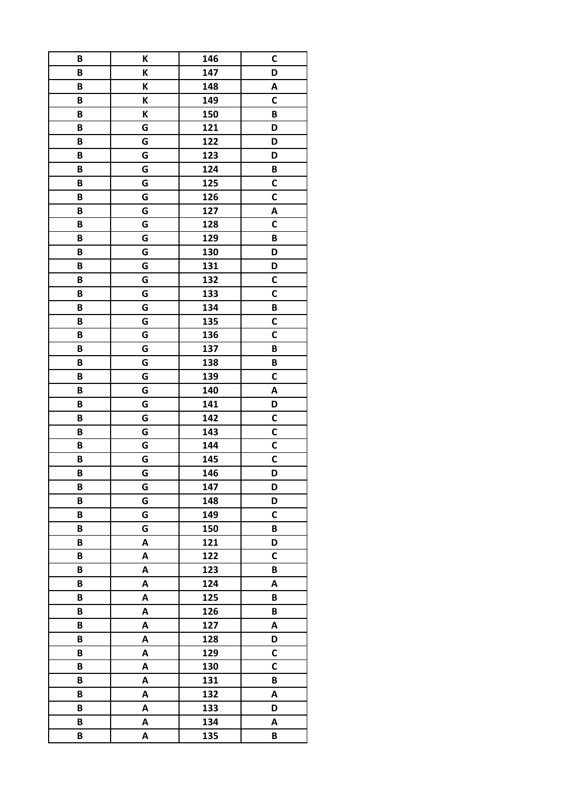| B | K | 146 | C            |
|---|---|-----|--------------|
| B | K | 147 | D            |
| B | K | 148 | Α            |
| B | K | 149 | C            |
| B | K | 150 | B            |
| B | G | 121 | D            |
| B | G | 122 | D            |
| B | G | 123 | D            |
| B | G | 124 | B            |
| B | G | 125 | $\mathsf{C}$ |
| B | G | 126 | C            |
| B | G | 127 | Α            |
| B | G | 128 | C            |
| B | G | 129 | B            |
| B | G | 130 | D            |
| B | G | 131 | D            |
| B | G | 132 | C            |
| B | G | 133 | C            |
| B | G | 134 | B            |
| В | G | 135 | C            |
| B | G | 136 | $\mathsf{C}$ |
| B | G | 137 | B            |
| B | G | 138 | B            |
| B | G | 139 | $\mathsf{C}$ |
| B | G | 140 | Α            |
| B | G | 141 | D            |
| B | G | 142 | C            |
| B | G | 143 | $\mathsf{C}$ |
| B | G | 144 | C            |
| B | G | 145 | C            |
| B | G | 146 | D            |
| B | G | 147 | D            |
| B | G | 148 | D            |
| B | G | 149 | $\mathsf{C}$ |
| B | G | 150 | B            |
| B | A | 121 | D            |
| B | A | 122 | $\mathsf{C}$ |
| B | Α | 123 | B            |
| B | A | 124 | A            |
| B | A | 125 | B            |
| B | Α | 126 | B            |
| B | A | 127 | A            |
| B | A | 128 | D            |
| B | A | 129 | C            |
| B | A | 130 | $\mathsf{C}$ |
| B | A | 131 | B            |
| B | A | 132 | A            |
| B | A | 133 | D            |
| B | A | 134 | Α            |
| B | A | 135 | B            |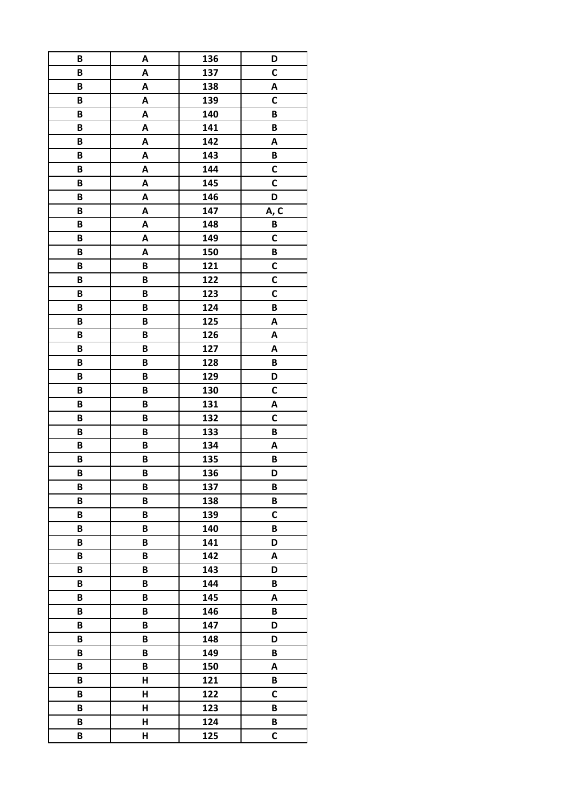| B | A | 136 | D            |
|---|---|-----|--------------|
| B | A | 137 | $\mathsf{C}$ |
| B | A | 138 | Α            |
| B | A | 139 | $\mathsf{C}$ |
| B | A | 140 | B            |
| B | A | 141 | B            |
| B | A | 142 | A            |
| B | A | 143 | B            |
| B | A | 144 | C            |
| B | A | 145 | C            |
| B | A | 146 | D            |
| B | A | 147 | A, C         |
| B | A | 148 | B            |
| B | A | 149 | $\mathsf{C}$ |
| B | A | 150 | B            |
| B | B | 121 | C            |
| B | B | 122 | C            |
| B | B | 123 | C            |
| B | B | 124 | B            |
| B | B | 125 | Α            |
| B | B | 126 | A            |
| B | B | 127 | Α            |
| B | B | 128 | B            |
|   |   |     |              |
| B | B | 129 | D            |
| B | B | 130 | C            |
| B | B | 131 | Α            |
| B | B | 132 | C            |
| B | B | 133 | B            |
| B | B | 134 | Α            |
| B | B | 135 | B            |
| B | B | 136 | D            |
| B | B | 137 | B            |
| B | B | 138 | B            |
| B | B | 139 | $\mathsf c$  |
| B | B | 140 | B            |
| B | B | 141 | D            |
| B | B | 142 | Α            |
| B | B | 143 | D            |
| B | B | 144 | B            |
| B | B | 145 | A            |
| B | B | 146 | B            |
| B | B | 147 | D            |
| B | B | 148 | D            |
| B | B | 149 | B            |
| B | B | 150 | A            |
| B | Н | 121 | B            |
| B | H | 122 | $\mathsf{C}$ |
| B | Н | 123 | B            |
| B | Н | 124 | B            |
| B | H | 125 | $\mathsf{C}$ |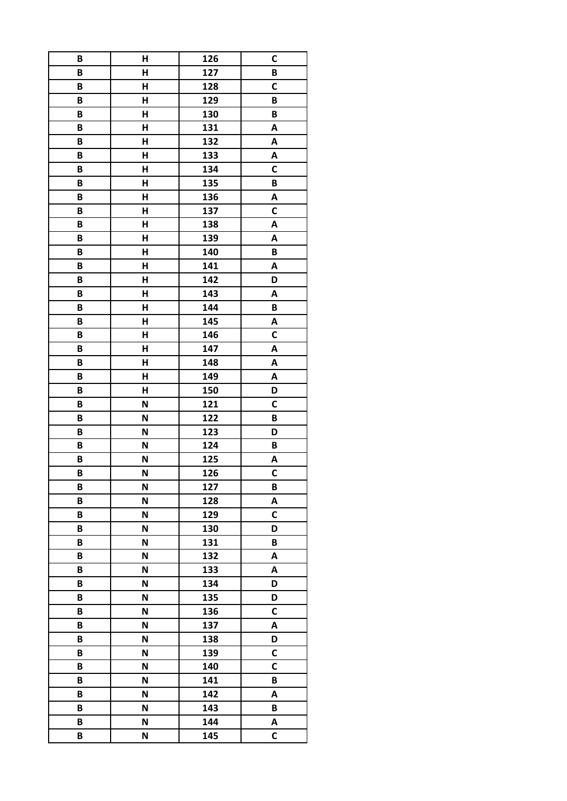| B | Н | 126 | C            |
|---|---|-----|--------------|
| B | H | 127 | B            |
| B | Н | 128 | C            |
| B | H | 129 | B            |
| B | H | 130 | B            |
| B | Н | 131 | A            |
| B | Н | 132 | A            |
| B | H | 133 | A            |
| B | H | 134 | $\mathsf{C}$ |
| B | Н | 135 | B            |
| B | Н | 136 | A            |
| B | Н | 137 | C            |
| B | Н | 138 | A            |
| B | H | 139 | A            |
| B | Н | 140 | B            |
| B | H | 141 | A            |
| B | Н | 142 | D            |
| B | H | 143 | A            |
| B | H | 144 | B            |
| B | н | 145 | A            |
| B | H | 146 | C            |
| B | H | 147 | A            |
| B | H | 148 | A            |
| B | H | 149 | A            |
| B | Н | 150 | D            |
| B | N | 121 | C            |
| B | N | 122 | B            |
| B | N | 123 | D            |
| B | N | 124 | B            |
| B | N | 125 | A            |
| B | N | 126 | $\mathsf{C}$ |
| B | N | 127 | B            |
| B | N | 128 | A            |
| B | N | 129 | C            |
| B | N | 130 | D            |
| B | N | 131 | B            |
| B | N | 132 | Α            |
| B | N | 133 | A            |
| B | N | 134 | D            |
| B | N | 135 | D            |
| B | N | 136 | C            |
| B | N | 137 | A            |
| B | N | 138 | D            |
| B | N | 139 | C            |
| B | N | 140 | $\mathsf{C}$ |
| B | N | 141 | B            |
| B | N | 142 | A            |
| B | N | 143 | B            |
| B | N | 144 | A            |
| B | N | 145 | C            |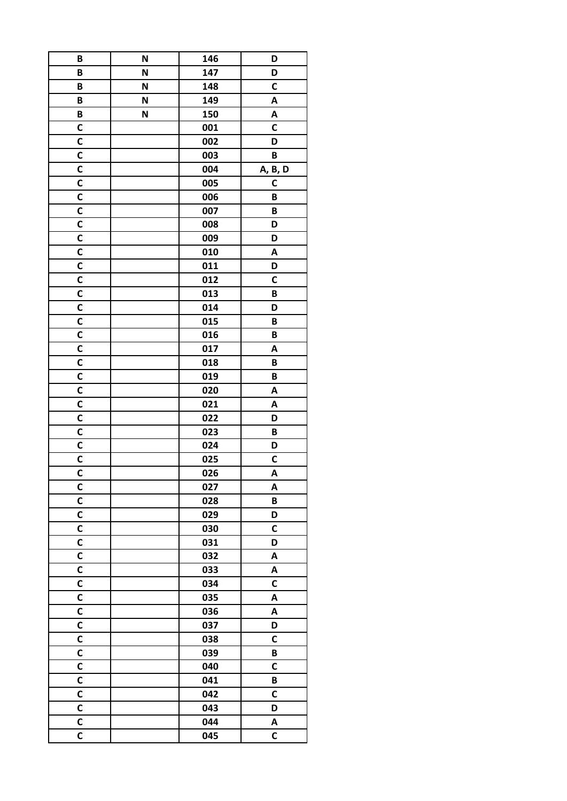| B                       | N | 146 | D            |
|-------------------------|---|-----|--------------|
| B                       | N | 147 | D            |
| B                       | N | 148 | C            |
| B                       | N | 149 | A            |
| B                       | N | 150 | Α            |
| C                       |   | 001 | C            |
| $\mathbf C$             |   | 002 | D            |
| C                       |   | 003 | B            |
| $\mathbf c$             |   | 004 | A, B, D      |
| C                       |   | 005 | $\mathsf{C}$ |
| $\mathbf C$             |   | 006 | B            |
| $\mathsf{C}$            |   | 007 | B            |
| C                       |   | 008 | D            |
| $\mathbf c$             |   | 009 | D            |
| C                       |   | 010 | Α            |
| C                       |   | 011 | D            |
| C                       |   | 012 | C            |
| C                       |   | 013 | B            |
| $\mathbf c$             |   | 014 | D            |
| C                       |   | 015 | В            |
| C                       |   | 016 | B            |
| C                       |   | 017 | Α            |
| $\mathbf c$             |   | 018 | B            |
| $\mathsf{C}$            |   | 019 | B            |
|                         |   |     |              |
| C<br>$\mathbf c$        |   | 020 | Α            |
|                         |   | 021 | A            |
| C                       |   | 022 | D            |
| $\mathbf c$             |   | 023 | B            |
| C                       |   | 024 | D            |
| C                       |   | 025 | C            |
| $\mathsf{C}$            |   | 026 | A            |
| C                       |   | 027 | A            |
| C                       |   | 028 | B            |
| C                       |   | 029 | D            |
| C                       |   | 030 | C            |
| C                       |   | 031 | D            |
| C                       |   | 032 | Α            |
| C                       |   | 033 | A            |
| C                       |   | 034 | C            |
| $\mathsf{C}$            |   | 035 | A            |
| C                       |   | 036 | A            |
| C                       |   | 037 | D            |
| $\mathsf{C}$            |   | 038 | $\mathsf{C}$ |
| C                       |   | 039 | B            |
| $\mathbf c$             |   | 040 | C            |
| C                       |   | 041 | B            |
| $\mathsf{C}$            |   | 042 | $\mathsf{C}$ |
| $\mathsf{C}$            |   | 043 | D            |
| $\mathsf{C}$            |   | 044 | A            |
| $\overline{\mathsf{c}}$ |   | 045 | C            |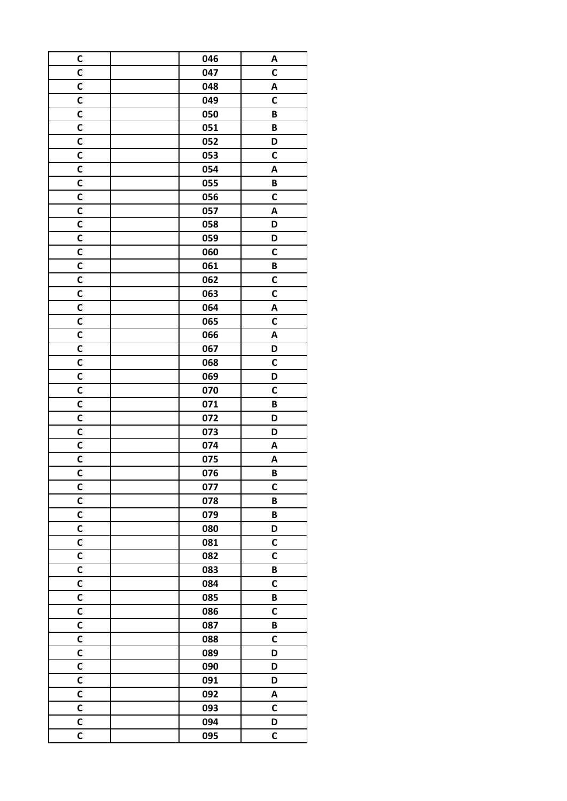| C            | 046 | A            |
|--------------|-----|--------------|
| $\mathbf c$  | 047 | C            |
| C            | 048 | Α            |
| C            | 049 | $\mathbf c$  |
| C            | 050 | B            |
| C            | 051 | B            |
| C            | 052 | D            |
| C            | 053 | C            |
| $\mathsf{C}$ | 054 | A            |
| C            | 055 | B            |
| C            | 056 | $\mathsf{C}$ |
| $\mathbf c$  | 057 | A            |
| C            | 058 | D            |
| $\mathbf c$  | 059 | D            |
| C            | 060 | C            |
| $\mathbf c$  | 061 | B            |
| $\mathbf c$  | 062 | C            |
| $\mathbf C$  | 063 | C            |
| C            | 064 | Α            |
| C            | 065 | C            |
| $\mathbf C$  | 066 | A            |
| C            | 067 | D            |
| $\mathbf c$  | 068 | C            |
| C            | 069 | D            |
| C            | 070 | C            |
| C            | 071 | B            |
| C            | 072 | D            |
| $\mathbf c$  | 073 | D            |
| C            | 074 | Α            |
| C            | 075 | A            |
| $\mathsf{C}$ | 076 | B            |
| C            | 077 | $\mathbf C$  |
| C            | 078 | B            |
| C            | 079 | B            |
| $\mathsf{C}$ | 080 | D            |
| C            | 081 | C            |
| C            | 082 | $\mathsf{C}$ |
| C            | 083 | B            |
| C            | 084 | C            |
| $\mathbf c$  | 085 | B            |
| C            | 086 | C            |
| C            | 087 | B            |
| C            | 088 | $\mathsf{C}$ |
| $\mathsf{C}$ | 089 | D            |
| C            | 090 | D            |
| C            | 091 | D            |
| C            | 092 | A            |
| C            | 093 | C            |
| C            | 094 | D            |
| C            | 095 | C            |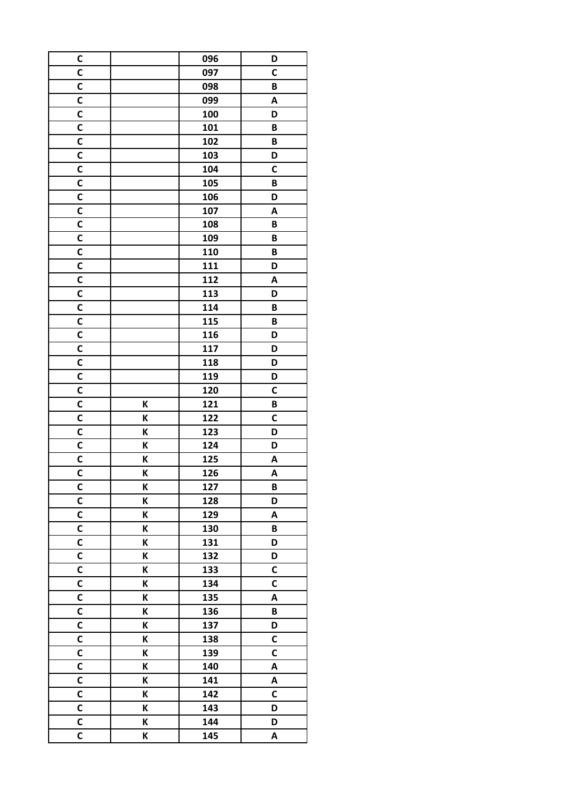| C                       |   | 096 | D                       |
|-------------------------|---|-----|-------------------------|
| C                       |   | 097 | C                       |
| C                       |   | 098 | B                       |
| $\mathbf c$             |   | 099 | A                       |
| C                       |   | 100 | D                       |
| C                       |   | 101 | B                       |
| $\mathbf c$             |   | 102 | B                       |
| C                       |   | 103 | D                       |
| $\mathbf c$             |   | 104 | $\mathbf c$             |
| C                       |   | 105 | B                       |
| C                       |   | 106 | D                       |
| C                       |   | 107 | A                       |
| C                       |   | 108 | B                       |
| $\mathbf c$             |   | 109 | B                       |
| C                       |   | 110 | B                       |
| C                       |   | 111 | D                       |
| $\mathsf{C}$            |   | 112 | A                       |
| C                       |   | 113 | D                       |
| $\mathsf{C}$            |   | 114 | B                       |
| C                       |   | 115 | B                       |
| C                       |   | 116 | D                       |
| C                       |   | 117 | D                       |
| C                       |   | 118 | D                       |
|                         |   |     |                         |
| C                       |   | 119 | D                       |
| C                       |   | 120 | C                       |
| C                       | K | 121 | B                       |
| C                       | K | 122 | C                       |
| $\mathsf{C}$            | K | 123 | D                       |
| C                       | K | 124 | D                       |
| C                       | K | 125 | A                       |
| $\mathsf{C}$            | K | 126 | A                       |
| C                       | K | 127 | B                       |
| C                       | K | 128 | D                       |
| C                       | K | 129 | A                       |
| C                       | K | 130 | B                       |
| C                       | K | 131 | D                       |
| C                       | K | 132 | D                       |
| C                       | K | 133 | C                       |
| C                       | K | 134 | C                       |
| $\mathsf{C}$            | K | 135 | $\overline{\mathsf{A}}$ |
| C                       | K | 136 | B                       |
| C                       | K | 137 | D                       |
| C                       | K | 138 | $\mathsf{C}$            |
| C                       | K | 139 | C                       |
| $\mathbf c$             | K | 140 | A                       |
| C                       | K | 141 | A                       |
| $\mathsf{C}$            | K | 142 | $\mathsf{C}$            |
| $\overline{\mathsf{c}}$ | K | 143 | D                       |
| C                       | K | 144 | D                       |
| $\overline{\mathsf{c}}$ | K | 145 | A                       |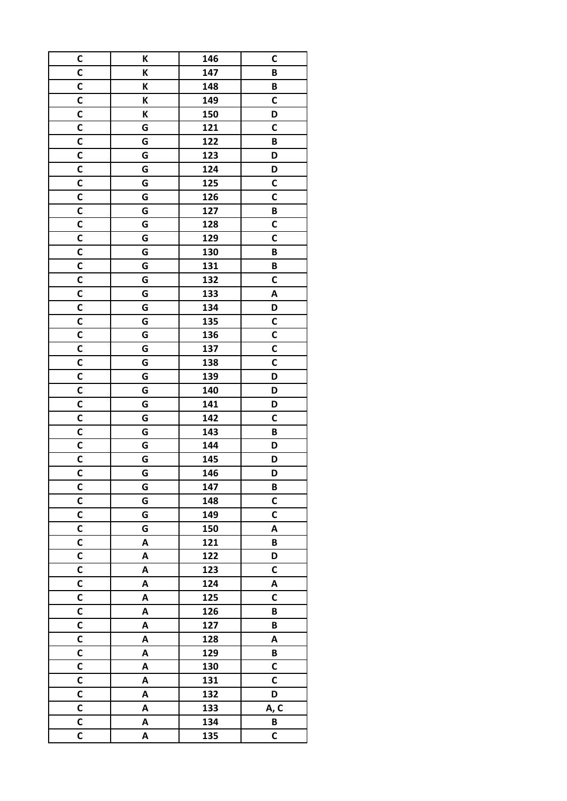| C                           | K | 146 | C            |
|-----------------------------|---|-----|--------------|
| C                           | K | 147 | B            |
| C                           | K | 148 | B            |
| C                           | K | 149 | C            |
| $\mathsf{C}$                | K | 150 | D            |
| C                           | G | 121 | C            |
| $\mathbf c$                 | G | 122 | B            |
| C                           | G | 123 | D            |
| $\mathsf{C}$                | G | 124 | D            |
| $\mathbf c$                 | G | 125 | $\mathsf{C}$ |
| $\mathsf{C}$                | G | 126 | C            |
| C                           | G | 127 | B            |
| C                           | G | 128 | C            |
| $\mathbf c$                 | G | 129 | $\mathsf{C}$ |
| C                           | G | 130 | B            |
| C                           | G | 131 | B            |
| C                           | G | 132 | C            |
| C                           | G | 133 | A            |
| C                           | G | 134 | D            |
| $\mathbf C$                 | G | 135 | C            |
| C                           | G | 136 | C            |
| C                           | G | 137 | C            |
| $\mathbf C$                 | G | 138 | C            |
| $\mathbf c$                 | G | 139 | D            |
| C                           | G | 140 | D            |
| $\mathbf c$                 | G | 141 | D            |
| C                           | G | 142 | C            |
| $\mathsf{C}$                | G | 143 | B            |
| $\mathsf{C}$                | G | 144 | D            |
| C                           | G | 145 | D            |
| $\overline{\mathsf{c}}$     | G | 146 | D            |
| C                           | G | 147 | B            |
| C                           | G | 148 | $\mathsf{C}$ |
| C                           | G | 149 | C            |
| C                           | G | 150 | A            |
| $\mathbf c$                 | A | 121 | B            |
| $\mathsf{C}$                | A | 122 | D            |
| C                           | A | 123 | C            |
| C                           | A | 124 | A            |
| $\overline{\mathsf{c}}$     | A | 125 | $\mathsf{C}$ |
| C                           | A | 126 | B            |
| $\mathsf{C}$                |   |     |              |
|                             | A | 127 | B            |
| $\mathsf{C}$                | A | 128 | A            |
| $\mathsf{C}$<br>$\mathbf c$ | A | 129 | B            |
|                             | A | 130 | C            |
| C                           | A | 131 | C            |
| $\mathsf{C}$                | A | 132 | D            |
| $\mathsf{C}$                | A | 133 | A, C         |
| C                           | A | 134 | B            |
| $\overline{\mathsf{c}}$     | A | 135 | $\mathsf{C}$ |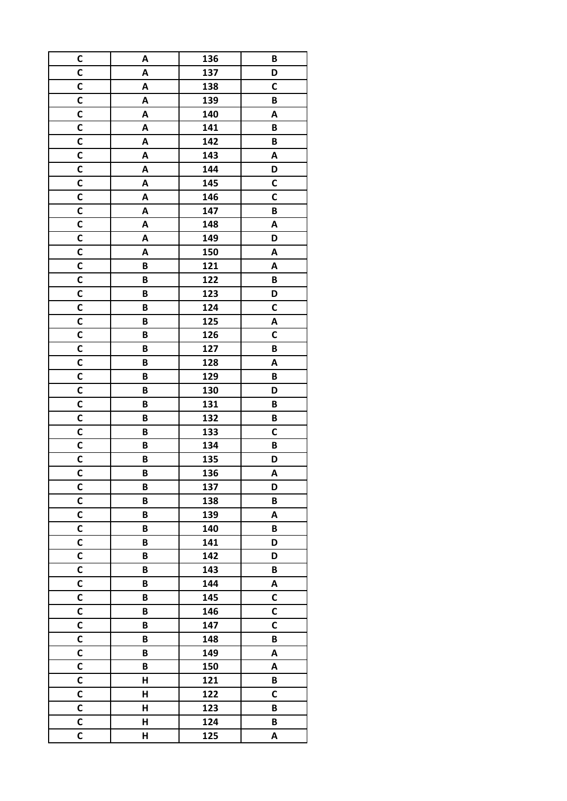| C            | A | 136 | B            |
|--------------|---|-----|--------------|
| C            | A | 137 | D            |
| C            | A | 138 | C            |
| C            | A | 139 | B            |
| $\mathbf c$  | Α | 140 | A            |
| $\mathsf{C}$ | A | 141 | B            |
| C            | A | 142 | B            |
| C            | A | 143 | A            |
| $\mathsf{C}$ | A | 144 | D            |
| $\mathsf{C}$ | A | 145 | C            |
| $\mathsf{C}$ | A | 146 | C            |
| C            | A | 147 | B            |
| C            | A | 148 | A            |
| $\mathbf c$  | A | 149 | D            |
| C            | A | 150 | A            |
| $\mathbf c$  | B | 121 | A            |
| $\mathsf{C}$ | B | 122 | B            |
| $\mathsf{C}$ | B | 123 | D            |
| C            | B | 124 | C            |
| C            | B | 125 |              |
| C            | B | 126 | A<br>C       |
| C            |   |     |              |
|              | B | 127 | B            |
| C            | B | 128 | A            |
| C            | B | 129 | B            |
| C            | B | 130 | D            |
| C            | B | 131 | B            |
| C            | B | 132 | B            |
| C            | B | 133 | C            |
| $\mathsf{C}$ | B | 134 | B            |
| C            | B | 135 | D            |
| $\mathsf{C}$ | B | 136 | A            |
| C            | B | 137 | D            |
| C            | B | 138 | B            |
| C            | B | 139 | A            |
| $\mathsf{C}$ | B | 140 | B            |
| C            | B | 141 | D            |
| $\mathsf{C}$ | B | 142 | D            |
| C            | B | 143 | B            |
| C            | B | 144 | A            |
| $\mathbf c$  | B | 145 | C            |
| C            | B | 146 | C            |
| C            | B | 147 | C            |
| C            | B | 148 | B            |
| C            | B | 149 | A            |
| $\mathbf c$  | B | 150 | Α            |
| C            | Н | 121 | B            |
| C            | H | 122 | $\mathsf{C}$ |
| C            | Н | 123 | B            |
| C            | H | 124 | B            |
| C            | H | 125 | A            |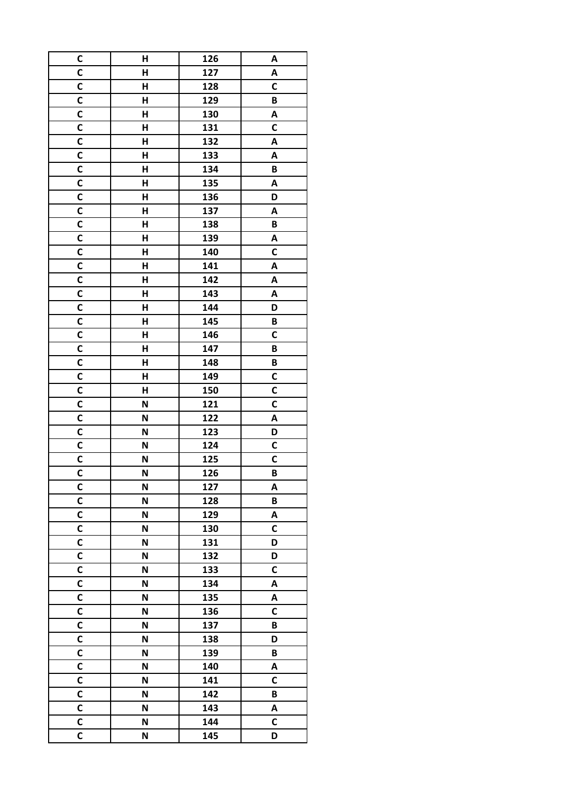| C                       | Н | 126 | A            |
|-------------------------|---|-----|--------------|
| C                       | H | 127 | A            |
| C                       | Н | 128 | $\mathsf c$  |
| $\mathbf c$             | H | 129 | B            |
| $\mathsf{C}$            | H | 130 | A            |
| C                       | Н | 131 | C            |
| $\mathbf c$             | H | 132 | A            |
| C                       | Н | 133 | A            |
| $\mathsf{C}$            | H | 134 | B            |
| $\mathbf c$             | H | 135 | A            |
| $\mathsf{C}$            | Н | 136 | D            |
| $\mathsf{C}$            | Н | 137 | Α            |
| C                       | Н | 138 | B            |
| $\mathbf c$             | H | 139 | A            |
| C                       | Н | 140 | C            |
| C                       | H | 141 | A            |
| $\mathbf c$             | Н | 142 | A            |
| $\mathsf{C}$            | H | 143 | A            |
| $\mathbf c$             | H | 144 | D            |
| C                       | Н | 145 | В            |
| $\mathbf c$             | H | 146 | C            |
| C                       | H | 147 | B            |
| C                       | H | 148 | B            |
| $\mathbf c$             | H | 149 | C            |
|                         |   |     |              |
| C<br>$\mathbf c$        | Н | 150 | C            |
|                         | N | 121 | C            |
| C                       | N | 122 | A            |
| $\mathsf{C}$            | N | 123 | D            |
| $\mathsf{C}$            | N | 124 | $\mathsf{C}$ |
| C                       | N | 125 | C            |
| $\overline{\mathsf{c}}$ | N | 126 | B            |
| C                       | N | 127 | A            |
| C                       | N | 128 | B            |
| C                       | N | 129 | A            |
| C                       | N | 130 | C            |
| $\mathbf c$             | N | 131 | D            |
| $\mathsf{C}$            | N | 132 | D            |
| C                       | N | 133 | C            |
| C                       | N | 134 | A            |
| $\overline{\mathsf{c}}$ | N | 135 | A            |
| C                       | N | 136 | $\mathsf{C}$ |
| $\mathsf{C}$            | N | 137 | B            |
| $\mathsf{C}$            | N | 138 | D            |
| C                       | N | 139 | B            |
| $\mathbf c$             | N | 140 | A            |
| C                       | N | 141 | C            |
| $\mathsf{C}$            | N | 142 | B            |
| $\mathsf{C}$            | N | 143 | A            |
| C                       | N | 144 | C            |
| $\overline{\mathsf{c}}$ | N | 145 | D            |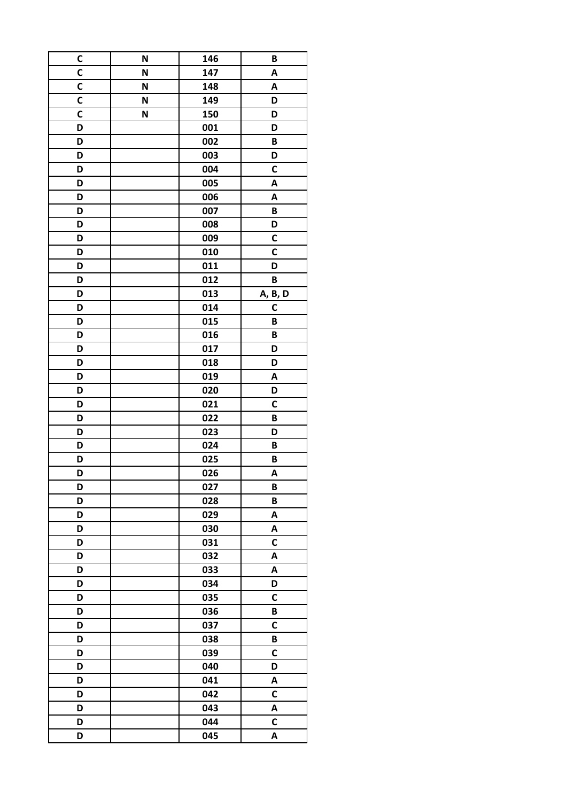| C           | N | 146        | B            |
|-------------|---|------------|--------------|
| C           | N | 147        | A            |
| C           | N | 148        | A            |
| C           | N | 149        | D            |
| $\mathbf c$ | N | 150        | D            |
| D           |   | 001        | D            |
| D           |   | 002        | B            |
| D           |   | 003        | D            |
| D           |   | 004        | C            |
| D           |   | 005        | Α            |
| D           |   | 006        | A            |
| D           |   | 007        | B            |
| D           |   | 008        | D            |
| D           |   | 009        | C            |
| D           |   | 010        | C            |
| D           |   | 011        | D            |
| D           |   | 012        | B            |
| D           |   | 013        | A, B, D      |
| D           |   | 014        | C            |
| D           |   | 015        | B            |
| D           |   | 016        | B            |
| D           |   | 017        | D            |
| D           |   | 018        | D            |
| D           |   | 019        | Α            |
| D           |   | 020        | D            |
| D           |   | 021        | $\mathsf{C}$ |
| D           |   | 022        | B            |
| D           |   | 023        | D            |
| D           |   | 024        | B            |
|             |   |            |              |
| D<br>D      |   | 025<br>026 | B<br>A       |
|             |   |            |              |
| D           |   | 027        | B<br>B       |
| D           |   | 028        |              |
| D           |   | 029        | A            |
| D           |   | 030        | Α            |
| D           |   | 031        | $\mathsf{C}$ |
| D           |   | 032        | Α            |
| D           |   | 033        | Α            |
| D           |   | 034        | D            |
| D           |   | 035        | $\mathsf{C}$ |
| D           |   | 036        | B            |
| D           |   | 037        | $\mathsf{C}$ |
| D           |   | 038        | B            |
| D           |   | 039        | C            |
| D           |   | 040        | D            |
| D           |   | 041        | A            |
| D           |   | 042        | $\mathsf{C}$ |
| D           |   | 043        | A            |
| D           |   | 044        | $\mathsf{C}$ |
| D           |   | 045        | A            |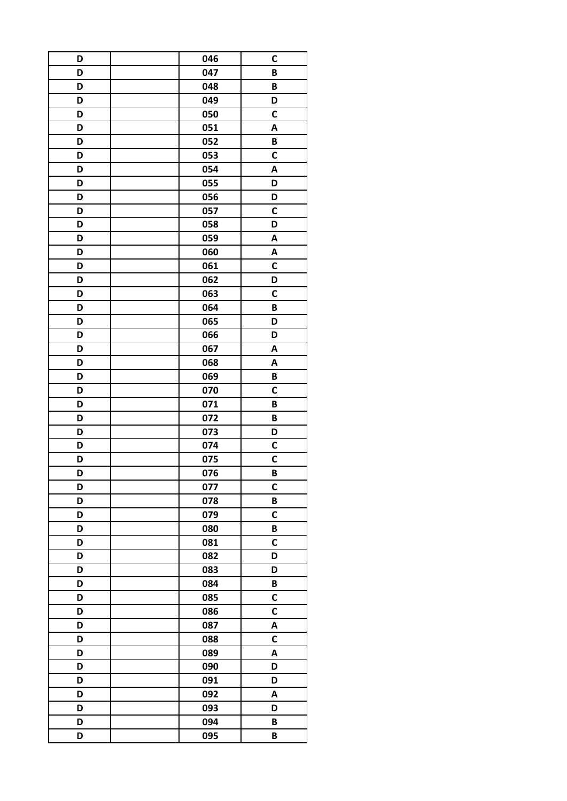| D | 046 | C            |
|---|-----|--------------|
| D | 047 | B            |
| D | 048 | B            |
| D | 049 | D            |
| D | 050 | $\mathsf{C}$ |
| D | 051 | Α            |
| D | 052 | B            |
| D | 053 | C            |
| D | 054 | A            |
| D | 055 | D            |
| D | 056 | D            |
| D | 057 | $\mathsf{C}$ |
| D | 058 | D            |
| D | 059 | A            |
| D | 060 | A            |
| D | 061 | $\mathsf{C}$ |
| D | 062 | D            |
| D | 063 | $\mathsf{C}$ |
| D | 064 | B            |
| D | 065 | D            |
| D | 066 | D            |
| D | 067 | A            |
| D | 068 | A            |
| D | 069 | B            |
| D | 070 | C            |
| D | 071 | B            |
| D | 072 | B            |
| D | 073 | D            |
| D | 074 | $\mathsf{C}$ |
| D | 075 | $\mathbf c$  |
| D | 076 | B            |
| D | 077 | $\mathbf C$  |
| D | 078 | B            |
| D | 079 | $\mathsf{C}$ |
| D | 080 | B            |
| D | 081 | C            |
| D | 082 | D            |
| D | 083 | D            |
| D | 084 | B            |
| D | 085 | $\mathbf c$  |
| D | 086 | $\mathsf{C}$ |
| D | 087 | A            |
| D | 088 | $\mathsf{C}$ |
| D | 089 | A            |
| D | 090 | D            |
| D | 091 | D            |
| D | 092 | A            |
| D | 093 | D            |
| D | 094 | B            |
| D | 095 | B            |
|   |     |              |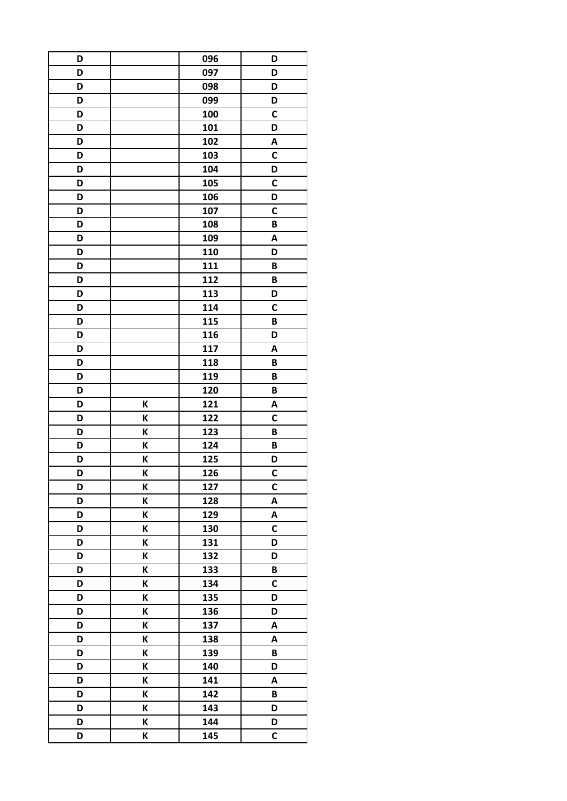| D |   | 096 | D            |
|---|---|-----|--------------|
| D |   | 097 | D            |
| D |   | 098 | D            |
| D |   | 099 | D            |
| D |   | 100 | $\mathsf{C}$ |
| D |   | 101 | D            |
| D |   | 102 | A            |
| D |   | 103 | C            |
| D |   | 104 | D            |
| D |   | 105 | $\mathsf{C}$ |
| D |   | 106 | D            |
| D |   | 107 | $\mathsf{C}$ |
| D |   | 108 | B            |
| D |   | 109 | A            |
| D |   | 110 | D            |
| D |   | 111 | B            |
| D |   | 112 | B            |
| D |   | 113 | D            |
| D |   | 114 | $\mathsf{C}$ |
| D |   | 115 | B            |
| D |   | 116 | D            |
| D |   | 117 | A            |
| D |   | 118 | B            |
| D |   | 119 | B            |
| D |   | 120 | B            |
| D | K | 121 | A            |
| D | К | 122 | C            |
| D | K | 123 | B            |
| D | K | 124 | B            |
|   |   |     |              |
| D | Κ | 125 | D            |
| D | K | 126 | C            |
| D | K | 127 | $\mathbf C$  |
| D | K | 128 | A            |
| D | K | 129 | A            |
| D | K | 130 | $\mathsf{C}$ |
| D | K | 131 | D            |
| D | K | 132 | D            |
| D | K | 133 | B            |
| D | Κ | 134 | $\mathsf{C}$ |
| D | K | 135 | D            |
| D | K | 136 | D            |
| D | K | 137 | A            |
| D | K | 138 | A            |
| D | K | 139 | B            |
| D | K | 140 | D            |
| D | Κ | 141 | A            |
| D | K | 142 | B            |
| D | K | 143 | D            |
| D | K | 144 | D            |
| D | K | 145 | C            |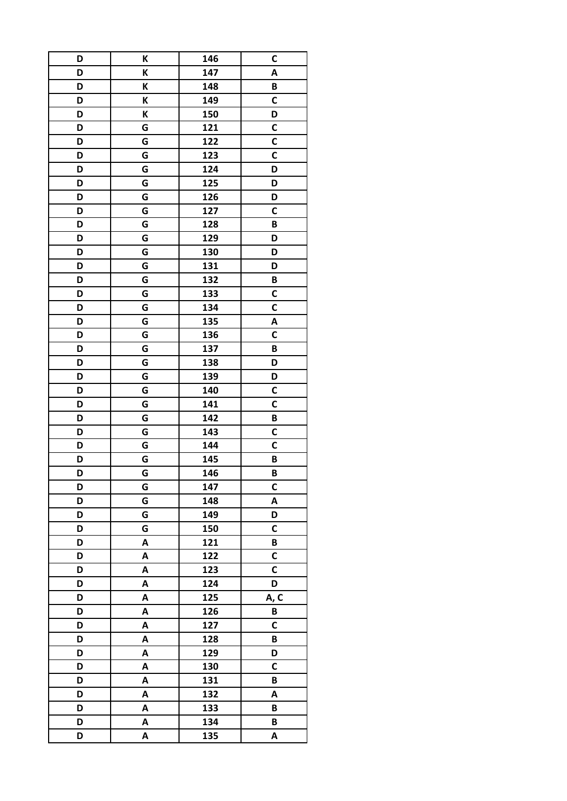| D | K | 146 | C            |
|---|---|-----|--------------|
| D | K | 147 | A            |
| D | Κ | 148 | B            |
| D | K | 149 | C            |
| D | Κ | 150 | D            |
| D | G | 121 | С            |
| D | G | 122 | $\mathbf c$  |
| D | G | 123 | C            |
| D | G | 124 | D            |
| D | G | 125 | D            |
| D | G | 126 | D            |
| D | G | 127 | C            |
| D | G | 128 | B            |
| D | G | 129 | D            |
| D | G | 130 | D            |
| D | G | 131 | D            |
| D | G | 132 | B            |
| D | G | 133 | C            |
| D | G | 134 | $\mathsf{C}$ |
| D | G | 135 | Α            |
| D | G | 136 | C            |
| D | G | 137 | B            |
| D | G | 138 | D            |
| D | G | 139 | D            |
| D | G | 140 | C            |
| D | G | 141 | $\mathbf c$  |
| D | G | 142 | B            |
| D | G | 143 | $\mathsf{C}$ |
| D | G | 144 | $\mathsf{C}$ |
| D | G | 145 | B            |
| D | G | 146 | B            |
| D | G | 147 | $\mathbf C$  |
| D | G | 148 | A            |
| D | G | 149 | D            |
| D | G | 150 | C            |
| D | A | 121 | B            |
| D | A | 122 | $\mathsf{C}$ |
| D | A | 123 | C            |
| D | A | 124 | D            |
| D | A | 125 | A, C         |
| D | A | 126 | B            |
| D | A | 127 | $\mathsf{C}$ |
| D | A | 128 | B            |
| D | A | 129 | D            |
| D | A | 130 | C            |
| D | A | 131 | B            |
| D | A | 132 | A            |
| D | A | 133 | B            |
| D | A | 134 | B            |
| D | A | 135 | A            |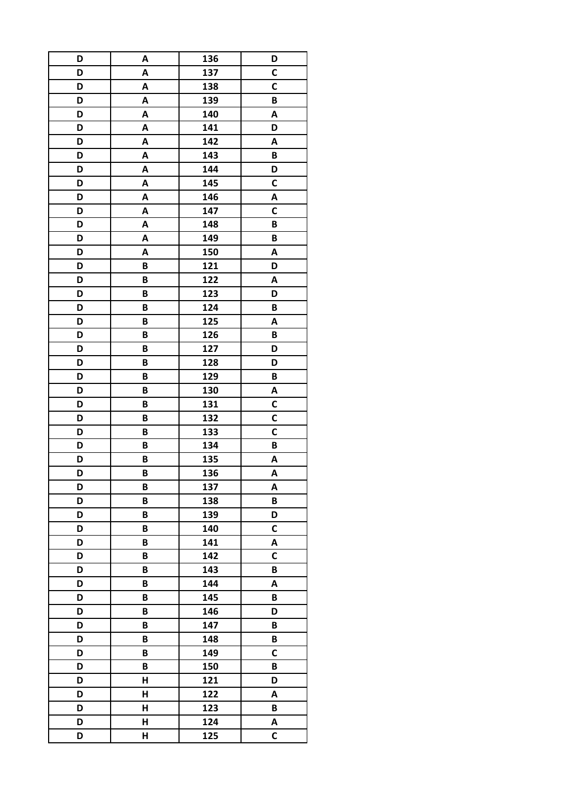| D | A | 136 | D            |
|---|---|-----|--------------|
| D | A | 137 | C            |
| D | A | 138 | C            |
| D | A | 139 | B            |
| D | Α | 140 | A            |
| D | A | 141 | D            |
| D | A | 142 | A            |
| D | A | 143 | B            |
| D | A | 144 | D            |
| D | A | 145 | C            |
| D | A | 146 | A            |
| D | A | 147 | $\mathsf{C}$ |
| D | A | 148 | B            |
| D | A | 149 | B            |
| D | A | 150 | A            |
| D | B | 121 | D            |
| D | B | 122 | A            |
| D | B | 123 | D            |
| D | B | 124 | B            |
| D | B | 125 | A            |
| D | B | 126 | B            |
| D | B | 127 | D            |
| D | B | 128 | D            |
|   |   |     |              |
| D | B | 129 | B            |
| D | B | 130 | A            |
| D | B | 131 | C            |
| D | B | 132 | C            |
| D | B | 133 | $\mathsf{C}$ |
| D | B | 134 | B            |
| D | B | 135 | A            |
| D | B | 136 | A            |
| D | B | 137 | A            |
| D | B | 138 | B            |
| D | B | 139 | D            |
| D | B | 140 | $\mathsf{C}$ |
| D | B | 141 | A            |
| D | B | 142 | C            |
| D | B | 143 | B            |
| D | B | 144 | A            |
| D | B | 145 | B            |
| D | B | 146 | D            |
| D | B | 147 | B            |
| D | B | 148 | B            |
| D | B | 149 | C            |
| D | B | 150 | B            |
| D | Н | 121 | D            |
| D | H | 122 | A            |
| D | Н | 123 | B            |
| D | Н | 124 | A            |
| D | H | 125 | $\mathsf{C}$ |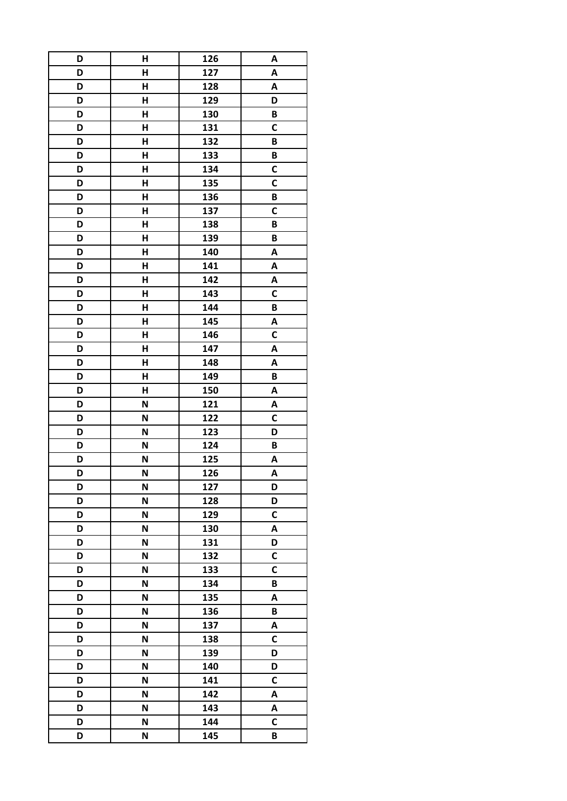| D | Н | 126 | A            |
|---|---|-----|--------------|
| D | H | 127 | A            |
| D | Н | 128 | A            |
| D | H | 129 | D            |
| D | H | 130 | B            |
| D | Н | 131 | C            |
| D | Н | 132 | B            |
| D | Н | 133 | B            |
| D | H | 134 | C            |
| D | Н | 135 | C            |
| D | Н | 136 | B            |
| D | Н | 137 | $\mathsf c$  |
| D | Н | 138 | B            |
| D | H | 139 | B            |
| D | Н | 140 | A            |
| D | H | 141 | A            |
| D | Н | 142 | A            |
| D | H | 143 | $\mathsf{C}$ |
| D | H | 144 | B            |
| D | Н | 145 | A            |
| D | H | 146 | C            |
| D | H | 147 | Α            |
| D | H | 148 | A            |
|   | H | 149 |              |
| D |   |     | B            |
| D | Н | 150 | Α            |
| D | N | 121 | A            |
| D | N | 122 | C            |
| D | N | 123 | D            |
| D | N | 124 | B            |
| D | N | 125 | A            |
| D | N | 126 | A            |
| D | N | 127 | D            |
| D | N | 128 | D            |
| D | N | 129 | C            |
| D | N | 130 | A            |
| D | N | 131 | D            |
| D | N | 132 | $\mathsf{C}$ |
| D | N | 133 | $\mathsf{C}$ |
| D | N | 134 | B            |
| D | N | 135 | A            |
| D | N | 136 | B            |
| D | N | 137 | A            |
| D | N | 138 | $\mathsf c$  |
| D | N | 139 | D            |
| D | N | 140 | D            |
| D | N | 141 | C            |
| D | N | 142 | A            |
| D | N | 143 | A            |
| D | N | 144 | $\mathsf{C}$ |
| D | N | 145 | B            |